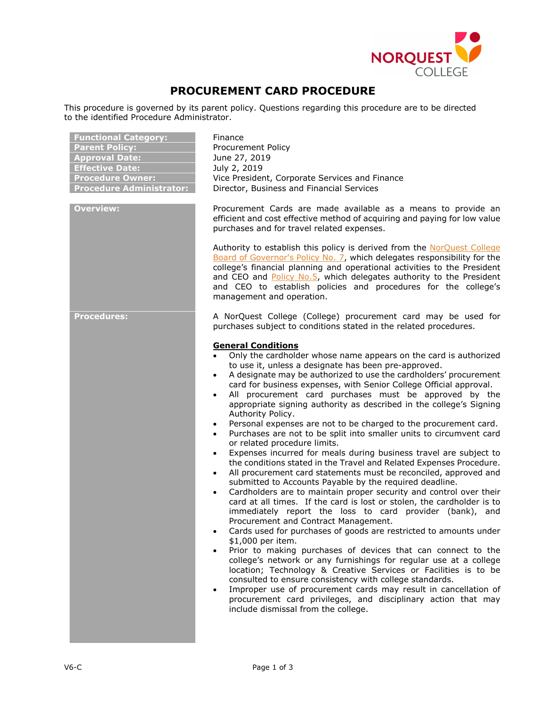

## **PROCUREMENT CARD PROCEDURE**

This procedure is governed by its parent policy. Questions regarding this procedure are to be directed to the identified Procedure Administrator.

| <b>Functional Category:</b><br><b>Parent Policy:</b><br><b>Approval Date:</b><br><b>Effective Date:</b><br><b>Procedure Owner:</b><br><b>Procedure Administrator:</b> | Finance<br>Procurement Policy<br>June 27, 2019<br>July 2, 2019<br>Vice President, Corporate Services and Finance<br>Director, Business and Financial Services                                                                                                                                                                                                                                                                                                                                                                                                                                                                                                                                                                                                                                                                                                                                                                                                                                                                                                                                                                                                                                                                                                                                                                                                                                                                                                                                                                                                                                                                                                                                                                                                                                                                                                                                                                                          |
|-----------------------------------------------------------------------------------------------------------------------------------------------------------------------|--------------------------------------------------------------------------------------------------------------------------------------------------------------------------------------------------------------------------------------------------------------------------------------------------------------------------------------------------------------------------------------------------------------------------------------------------------------------------------------------------------------------------------------------------------------------------------------------------------------------------------------------------------------------------------------------------------------------------------------------------------------------------------------------------------------------------------------------------------------------------------------------------------------------------------------------------------------------------------------------------------------------------------------------------------------------------------------------------------------------------------------------------------------------------------------------------------------------------------------------------------------------------------------------------------------------------------------------------------------------------------------------------------------------------------------------------------------------------------------------------------------------------------------------------------------------------------------------------------------------------------------------------------------------------------------------------------------------------------------------------------------------------------------------------------------------------------------------------------------------------------------------------------------------------------------------------------|
| <b>Overview:</b>                                                                                                                                                      | Procurement Cards are made available as a means to provide an<br>efficient and cost effective method of acquiring and paying for low value<br>purchases and for travel related expenses.<br>Authority to establish this policy is derived from the NorQuest College<br>Board of Governor's Policy No. 7, which delegates responsibility for the<br>college's financial planning and operational activities to the President<br>and CEO and Policy No.5, which delegates authority to the President<br>and CEO to establish policies and procedures for the college's<br>management and operation.                                                                                                                                                                                                                                                                                                                                                                                                                                                                                                                                                                                                                                                                                                                                                                                                                                                                                                                                                                                                                                                                                                                                                                                                                                                                                                                                                      |
| <b>Procedures:</b>                                                                                                                                                    | A NorQuest College (College) procurement card may be used for<br>purchases subject to conditions stated in the related procedures.<br><b>General Conditions</b><br>Only the cardholder whose name appears on the card is authorized<br>to use it, unless a designate has been pre-approved.<br>A designate may be authorized to use the cardholders' procurement<br>$\bullet$<br>card for business expenses, with Senior College Official approval.<br>All procurement card purchases must be approved by the<br>$\bullet$<br>appropriate signing authority as described in the college's Signing<br>Authority Policy.<br>Personal expenses are not to be charged to the procurement card.<br>$\bullet$<br>Purchases are not to be split into smaller units to circumvent card<br>$\bullet$<br>or related procedure limits.<br>Expenses incurred for meals during business travel are subject to<br>$\bullet$<br>the conditions stated in the Travel and Related Expenses Procedure.<br>All procurement card statements must be reconciled, approved and<br>$\bullet$<br>submitted to Accounts Payable by the required deadline.<br>Cardholders are to maintain proper security and control over their<br>$\bullet$<br>card at all times. If the card is lost or stolen, the cardholder is to<br>immediately report the loss to card provider (bank), and<br>Procurement and Contract Management.<br>Cards used for purchases of goods are restricted to amounts under<br>\$1,000 per item.<br>Prior to making purchases of devices that can connect to the<br>college's network or any furnishings for regular use at a college<br>location; Technology & Creative Services or Facilities is to be<br>consulted to ensure consistency with college standards.<br>Improper use of procurement cards may result in cancellation of<br>$\bullet$<br>procurement card privileges, and disciplinary action that may<br>include dismissal from the college. |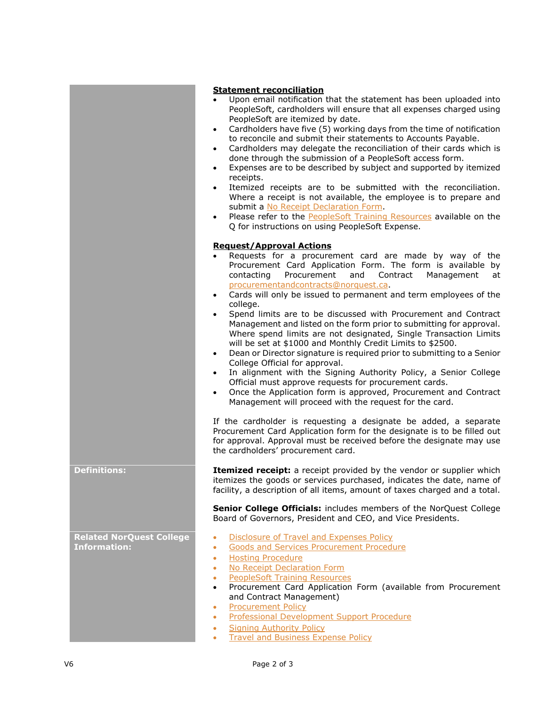|                                                        | <b>Statement reconciliation</b><br>Upon email notification that the statement has been uploaded into<br>PeopleSoft, cardholders will ensure that all expenses charged using<br>PeopleSoft are itemized by date.<br>Cardholders have five (5) working days from the time of notification<br>to reconcile and submit their statements to Accounts Payable.<br>Cardholders may delegate the reconciliation of their cards which is<br>$\bullet$<br>done through the submission of a PeopleSoft access form.<br>Expenses are to be described by subject and supported by itemized<br>$\bullet$<br>receipts.<br>Itemized receipts are to be submitted with the reconciliation.<br>Where a receipt is not available, the employee is to prepare and<br>submit a No Receipt Declaration Form.<br>Please refer to the <b>PeopleSoft Training Resources</b> available on the<br>$\bullet$<br>Q for instructions on using PeopleSoft Expense.                                                                                                                                                                                                                                                                                                                                             |
|--------------------------------------------------------|---------------------------------------------------------------------------------------------------------------------------------------------------------------------------------------------------------------------------------------------------------------------------------------------------------------------------------------------------------------------------------------------------------------------------------------------------------------------------------------------------------------------------------------------------------------------------------------------------------------------------------------------------------------------------------------------------------------------------------------------------------------------------------------------------------------------------------------------------------------------------------------------------------------------------------------------------------------------------------------------------------------------------------------------------------------------------------------------------------------------------------------------------------------------------------------------------------------------------------------------------------------------------------|
|                                                        | <b>Request/Approval Actions</b><br>Requests for a procurement card are made by way of the<br>Procurement Card Application Form. The form is available by<br>contacting<br>Procurement<br>Contract<br>Management<br>and<br>at<br>procurementandcontracts@norquest.ca.<br>Cards will only be issued to permanent and term employees of the<br>college.<br>Spend limits are to be discussed with Procurement and Contract<br>Management and listed on the form prior to submitting for approval.<br>Where spend limits are not designated, Single Transaction Limits<br>will be set at \$1000 and Monthly Credit Limits to \$2500.<br>Dean or Director signature is required prior to submitting to a Senior<br>College Official for approval.<br>In alignment with the Signing Authority Policy, a Senior College<br>Official must approve requests for procurement cards.<br>Once the Application form is approved, Procurement and Contract<br>$\bullet$<br>Management will proceed with the request for the card.<br>If the cardholder is requesting a designate be added, a separate<br>Procurement Card Application form for the designate is to be filled out<br>for approval. Approval must be received before the designate may use<br>the cardholders' procurement card. |
| <b>Definitions:</b>                                    | Itemized receipt: a receipt provided by the vendor or supplier which<br>itemizes the goods or services purchased, indicates the date, name of<br>facility, a description of all items, amount of taxes charged and a total.<br>Senior College Officials: includes members of the NorQuest College<br>Board of Governors, President and CEO, and Vice Presidents.                                                                                                                                                                                                                                                                                                                                                                                                                                                                                                                                                                                                                                                                                                                                                                                                                                                                                                                |
| <b>Related NorQuest College</b><br><b>Information:</b> | <b>Disclosure of Travel and Expenses Policy</b><br>$\bullet$<br><b>Goods and Services Procurement Procedure</b><br>۰<br><b>Hosting Procedure</b><br>٠<br>No Receipt Declaration Form<br>٠<br><b>PeopleSoft Training Resources</b><br>۰<br>Procurement Card Application Form (available from Procurement<br>$\bullet$<br>and Contract Management)<br><b>Procurement Policy</b><br>٠<br><b>Professional Development Support Procedure</b><br>٠<br><b>Signing Authority Policy</b><br><b>Travel and Business Expense Policy</b>                                                                                                                                                                                                                                                                                                                                                                                                                                                                                                                                                                                                                                                                                                                                                    |